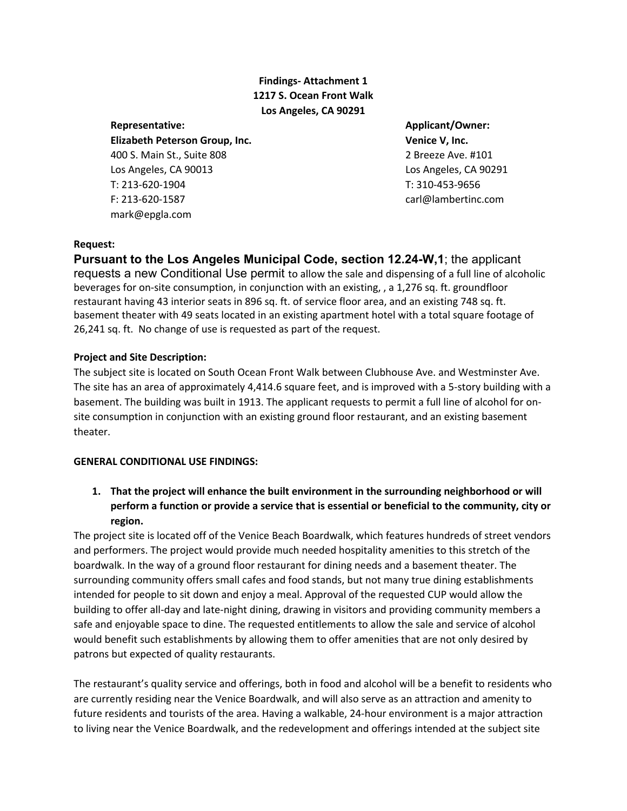# **Findings- Attachment 1 1217 S. Ocean Front Walk Los Angeles, CA 90291**

**Elizabeth Peterson Group, Inc. Venice V, Inc.** 400 S. Main St., Suite 808 2 Breeze Ave. #101 Los Angeles, CA 90013 Los Angeles, CA 90291 T: 213-620-1904 T: 310-453-9656 F: 213-620-1587 carl@lambertinc.com mark@epgla.com

**Representative: Applicant/Owner:**

#### **Request:**

**Pursuant to the Los Angeles Municipal Code, section 12.24-W,1**; the applicant requests a new Conditional Use permit to allow the sale and dispensing of a full line of alcoholic beverages for on-site consumption, in conjunction with an existing, , a 1,276 sq. ft. groundfloor restaurant having 43 interior seats in 896 sq. ft. of service floor area, and an existing 748 sq. ft. basement theater with 49 seats located in an existing apartment hotel with a total square footage of 26,241 sq. ft. No change of use is requested as part of the request.

### **Project and Site Description:**

The subject site is located on South Ocean Front Walk between Clubhouse Ave. and Westminster Ave. The site has an area of approximately 4,414.6 square feet, and is improved with a 5-story building with a basement. The building was built in 1913. The applicant requests to permit a full line of alcohol for onsite consumption in conjunction with an existing ground floor restaurant, and an existing basement theater.

### **GENERAL CONDITIONAL USE FINDINGS:**

**1. That the project will enhance the built environment in the surrounding neighborhood or will perform a function or provide a service that is essential or beneficial to the community, city or region.**

The project site is located off of the Venice Beach Boardwalk, which features hundreds of street vendors and performers. The project would provide much needed hospitality amenities to this stretch of the boardwalk. In the way of a ground floor restaurant for dining needs and a basement theater. The surrounding community offers small cafes and food stands, but not many true dining establishments intended for people to sit down and enjoy a meal. Approval of the requested CUP would allow the building to offer all-day and late-night dining, drawing in visitors and providing community members a safe and enjoyable space to dine. The requested entitlements to allow the sale and service of alcohol would benefit such establishments by allowing them to offer amenities that are not only desired by patrons but expected of quality restaurants.

The restaurant's quality service and offerings, both in food and alcohol will be a benefit to residents who are currently residing near the Venice Boardwalk, and will also serve as an attraction and amenity to future residents and tourists of the area. Having a walkable, 24-hour environment is a major attraction to living near the Venice Boardwalk, and the redevelopment and offerings intended at the subject site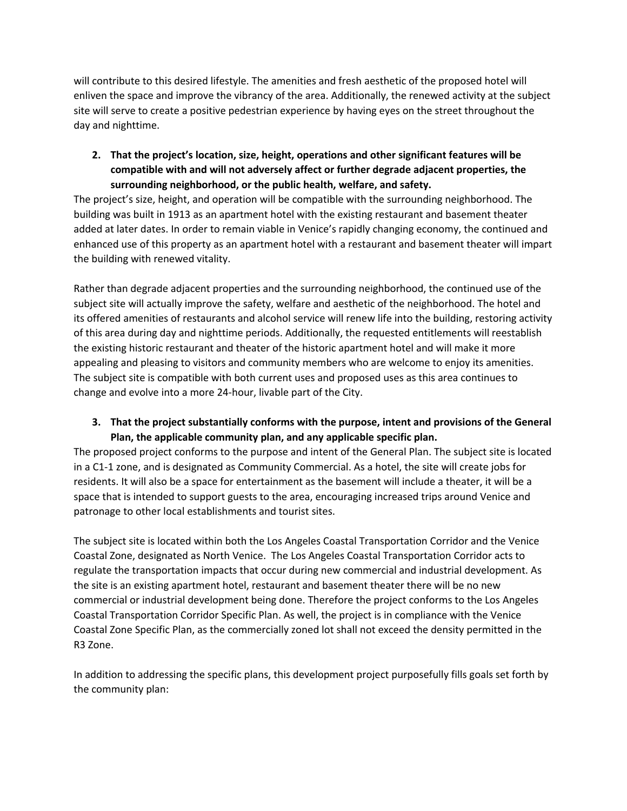will contribute to this desired lifestyle. The amenities and fresh aesthetic of the proposed hotel will enliven the space and improve the vibrancy of the area. Additionally, the renewed activity at the subject site will serve to create a positive pedestrian experience by having eyes on the street throughout the day and nighttime.

**2. That the project's location, size, height, operations and other significant features will be compatible with and will not adversely affect or further degrade adjacent properties, the surrounding neighborhood, or the public health, welfare, and safety.** 

The project's size, height, and operation will be compatible with the surrounding neighborhood. The building was built in 1913 as an apartment hotel with the existing restaurant and basement theater added at later dates. In order to remain viable in Venice's rapidly changing economy, the continued and enhanced use of this property as an apartment hotel with a restaurant and basement theater will impart the building with renewed vitality.

Rather than degrade adjacent properties and the surrounding neighborhood, the continued use of the subject site will actually improve the safety, welfare and aesthetic of the neighborhood. The hotel and its offered amenities of restaurants and alcohol service will renew life into the building, restoring activity of this area during day and nighttime periods. Additionally, the requested entitlements will reestablish the existing historic restaurant and theater of the historic apartment hotel and will make it more appealing and pleasing to visitors and community members who are welcome to enjoy its amenities. The subject site is compatible with both current uses and proposed uses as this area continues to change and evolve into a more 24-hour, livable part of the City.

## **3. That the project substantially conforms with the purpose, intent and provisions of the General Plan, the applicable community plan, and any applicable specific plan.**

The proposed project conforms to the purpose and intent of the General Plan. The subject site is located in a C1-1 zone, and is designated as Community Commercial. As a hotel, the site will create jobs for residents. It will also be a space for entertainment as the basement will include a theater, it will be a space that is intended to support guests to the area, encouraging increased trips around Venice and patronage to other local establishments and tourist sites.

The subject site is located within both the Los Angeles Coastal Transportation Corridor and the Venice Coastal Zone, designated as North Venice. The Los Angeles Coastal Transportation Corridor acts to regulate the transportation impacts that occur during new commercial and industrial development. As the site is an existing apartment hotel, restaurant and basement theater there will be no new commercial or industrial development being done. Therefore the project conforms to the Los Angeles Coastal Transportation Corridor Specific Plan. As well, the project is in compliance with the Venice Coastal Zone Specific Plan, as the commercially zoned lot shall not exceed the density permitted in the R3 Zone.

In addition to addressing the specific plans, this development project purposefully fills goals set forth by the community plan: